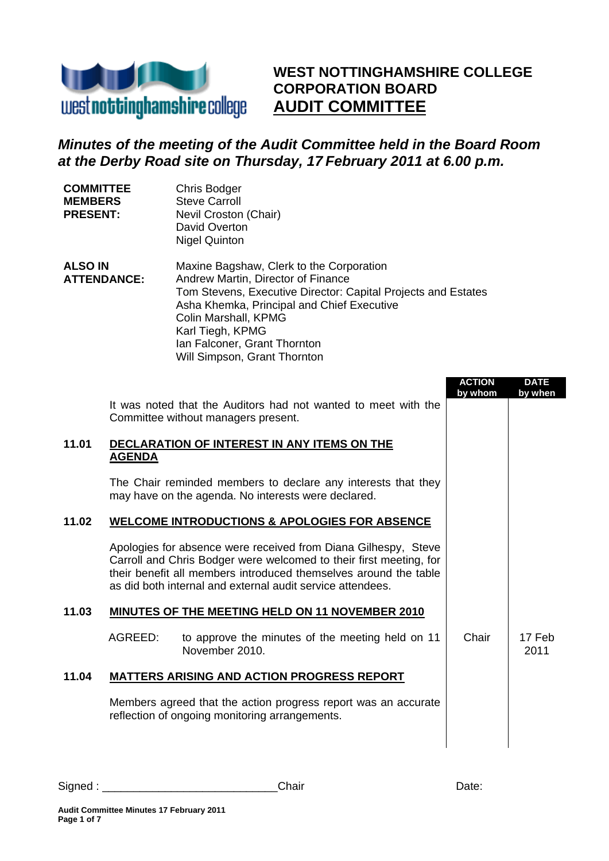

Chris Bodger Steve Carroll

Nevil Croston (Chair)

**COMMITTEE MEMBERS PRESENT:**

# **WEST NOTTINGHAMSHIRE COLLEGE CORPORATION BOARD AUDIT COMMITTEE**

# *Minutes of the meeting of the Audit Committee held in the Board Room at the Derby Road site on Thursday, 17 February 2011 at 6.00 p.m.*

|                                      |               | David Overton<br><b>Nigel Quinton</b>                                                                                                                                                                                                                                                                     |                          |                        |
|--------------------------------------|---------------|-----------------------------------------------------------------------------------------------------------------------------------------------------------------------------------------------------------------------------------------------------------------------------------------------------------|--------------------------|------------------------|
| <b>ALSO IN</b><br><b>ATTENDANCE:</b> |               | Maxine Bagshaw, Clerk to the Corporation<br>Andrew Martin, Director of Finance<br>Tom Stevens, Executive Director: Capital Projects and Estates<br>Asha Khemka, Principal and Chief Executive<br>Colin Marshall, KPMG<br>Karl Tiegh, KPMG<br>Ian Falconer, Grant Thornton<br>Will Simpson, Grant Thornton |                          |                        |
|                                      |               | It was noted that the Auditors had not wanted to meet with the<br>Committee without managers present.                                                                                                                                                                                                     | <b>ACTION</b><br>by whom | <b>DATE</b><br>by when |
| 11.01                                | <b>AGENDA</b> | DECLARATION OF INTEREST IN ANY ITEMS ON THE                                                                                                                                                                                                                                                               |                          |                        |
|                                      |               | The Chair reminded members to declare any interests that they<br>may have on the agenda. No interests were declared.                                                                                                                                                                                      |                          |                        |
| 11.02                                |               | <b>WELCOME INTRODUCTIONS &amp; APOLOGIES FOR ABSENCE</b>                                                                                                                                                                                                                                                  |                          |                        |
|                                      |               | Apologies for absence were received from Diana Gilhespy, Steve<br>Carroll and Chris Bodger were welcomed to their first meeting, for<br>their benefit all members introduced themselves around the table<br>as did both internal and external audit service attendees.                                    |                          |                        |
| 11.03                                |               | <b>MINUTES OF THE MEETING HELD ON 11 NOVEMBER 2010</b>                                                                                                                                                                                                                                                    |                          |                        |
|                                      | AGREED:       | to approve the minutes of the meeting held on 11<br>November 2010.                                                                                                                                                                                                                                        | Chair                    | 17 Feb<br>2011         |
| 11.04                                |               | <u>MATTERS ARISING AND ACTION PROGRESS REPORT</u>                                                                                                                                                                                                                                                         |                          |                        |
|                                      |               | Members agreed that the action progress report was an accurate<br>reflection of ongoing monitoring arrangements.                                                                                                                                                                                          |                          |                        |
|                                      |               |                                                                                                                                                                                                                                                                                                           |                          |                        |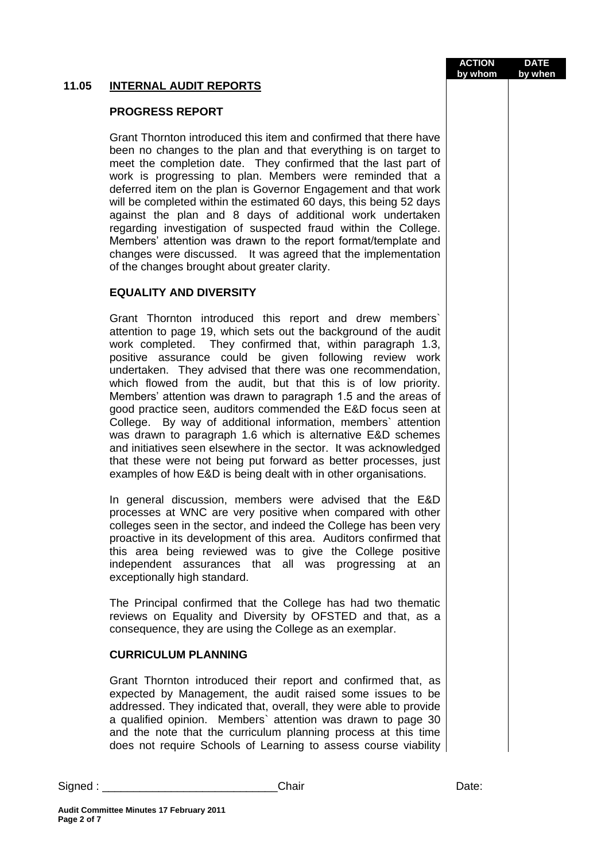## **11.05 INTERNAL AUDIT REPORTS**

### **PROGRESS REPORT**

Grant Thornton introduced this item and confirmed that there have been no changes to the plan and that everything is on target to meet the completion date. They confirmed that the last part of work is progressing to plan. Members were reminded that a deferred item on the plan is Governor Engagement and that work will be completed within the estimated 60 days, this being 52 days against the plan and 8 days of additional work undertaken regarding investigation of suspected fraud within the College. Members' attention was drawn to the report format/template and changes were discussed. It was agreed that the implementation of the changes brought about greater clarity.

## **EQUALITY AND DIVERSITY**

Grant Thornton introduced this report and drew members` attention to page 19, which sets out the background of the audit work completed. They confirmed that, within paragraph 1.3, positive assurance could be given following review work undertaken. They advised that there was one recommendation, which flowed from the audit, but that this is of low priority. Members' attention was drawn to paragraph 1.5 and the areas of good practice seen, auditors commended the E&D focus seen at College. By way of additional information, members` attention was drawn to paragraph 1.6 which is alternative E&D schemes and initiatives seen elsewhere in the sector. It was acknowledged that these were not being put forward as better processes, just examples of how E&D is being dealt with in other organisations.

In general discussion, members were advised that the E&D processes at WNC are very positive when compared with other colleges seen in the sector, and indeed the College has been very proactive in its development of this area. Auditors confirmed that this area being reviewed was to give the College positive independent assurances that all was progressing at an exceptionally high standard.

The Principal confirmed that the College has had two thematic reviews on Equality and Diversity by OFSTED and that, as a consequence, they are using the College as an exemplar.

#### **CURRICULUM PLANNING**

Grant Thornton introduced their report and confirmed that, as expected by Management, the audit raised some issues to be addressed. They indicated that, overall, they were able to provide a qualified opinion. Members` attention was drawn to page 30 and the note that the curriculum planning process at this time does not require Schools of Learning to assess course viability

**Page 2 of 7**

**Audit Committee Minutes 17 February 2011**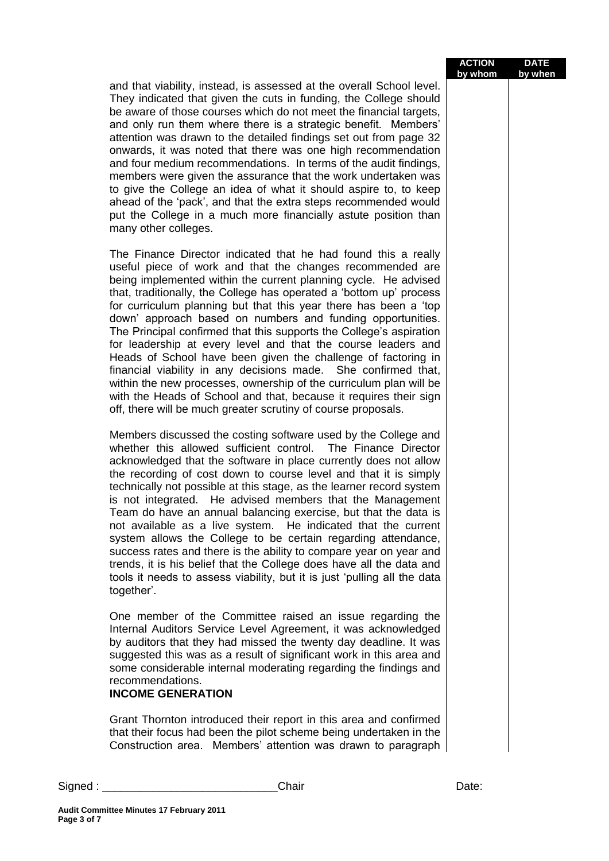| <b>ACTION</b> | <b>DATE</b> |
|---------------|-------------|
| by whom       | by when     |

and that viability, instead, is assessed at the overall School level. They indicated that given the cuts in funding, the College should be aware of those courses which do not meet the financial targets, and only run them where there is a strategic benefit. Members' attention was drawn to the detailed findings set out from page 32 onwards, it was noted that there was one high recommendation and four medium recommendations. In terms of the audit findings, members were given the assurance that the work undertaken was to give the College an idea of what it should aspire to, to keep ahead of the 'pack', and that the extra steps recommended would put the College in a much more financially astute position than many other colleges.

The Finance Director indicated that he had found this a really useful piece of work and that the changes recommended are being implemented within the current planning cycle. He advised that, traditionally, the College has operated a 'bottom up' process for curriculum planning but that this year there has been a 'top down' approach based on numbers and funding opportunities. The Principal confirmed that this supports the College's aspiration for leadership at every level and that the course leaders and Heads of School have been given the challenge of factoring in financial viability in any decisions made. She confirmed that, within the new processes, ownership of the curriculum plan will be with the Heads of School and that, because it requires their sign off, there will be much greater scrutiny of course proposals.

Members discussed the costing software used by the College and whether this allowed sufficient control. The Finance Director acknowledged that the software in place currently does not allow the recording of cost down to course level and that it is simply technically not possible at this stage, as the learner record system is not integrated. He advised members that the Management Team do have an annual balancing exercise, but that the data is not available as a live system. He indicated that the current system allows the College to be certain regarding attendance, success rates and there is the ability to compare year on year and trends, it is his belief that the College does have all the data and tools it needs to assess viability, but it is just 'pulling all the data together'.

One member of the Committee raised an issue regarding the Internal Auditors Service Level Agreement, it was acknowledged by auditors that they had missed the twenty day deadline. It was suggested this was as a result of significant work in this area and some considerable internal moderating regarding the findings and recommendations.

#### **INCOME GENERATION**

Grant Thornton introduced their report in this area and confirmed that their focus had been the pilot scheme being undertaken in the Construction area. Members' attention was drawn to paragraph

| Signed | `hoir : | Uate. |
|--------|---------|-------|
|        |         |       |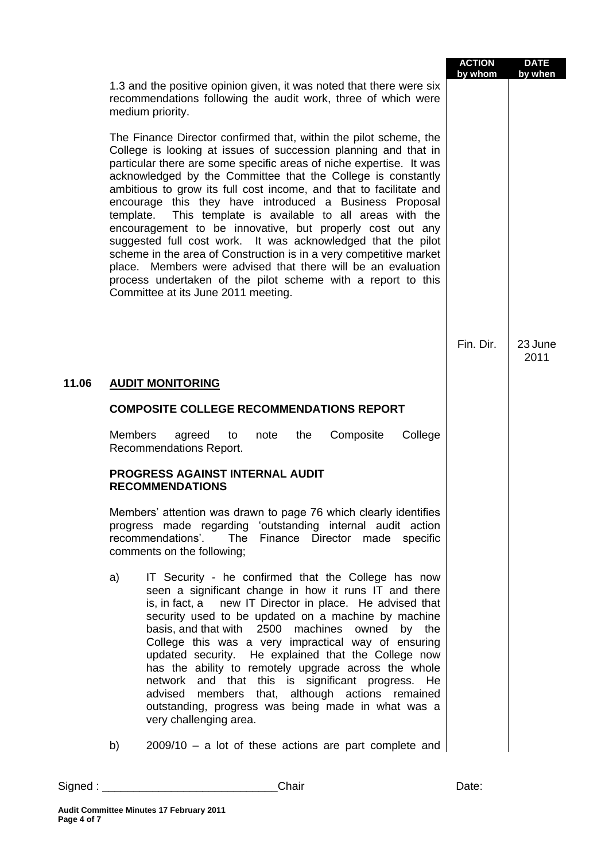|       |                                                                                                                                                                                                                                                                                                                                                                                                                                                                                                                                                                                                                                                                                                                                                                                                                                                         |                                                                                                                                                                                                                                                                                                                                                                                                                                                                                                                                                                                                                                                     | <b>ACTION</b><br>by whom | <b>DATE</b><br>by when |
|-------|---------------------------------------------------------------------------------------------------------------------------------------------------------------------------------------------------------------------------------------------------------------------------------------------------------------------------------------------------------------------------------------------------------------------------------------------------------------------------------------------------------------------------------------------------------------------------------------------------------------------------------------------------------------------------------------------------------------------------------------------------------------------------------------------------------------------------------------------------------|-----------------------------------------------------------------------------------------------------------------------------------------------------------------------------------------------------------------------------------------------------------------------------------------------------------------------------------------------------------------------------------------------------------------------------------------------------------------------------------------------------------------------------------------------------------------------------------------------------------------------------------------------------|--------------------------|------------------------|
|       |                                                                                                                                                                                                                                                                                                                                                                                                                                                                                                                                                                                                                                                                                                                                                                                                                                                         | 1.3 and the positive opinion given, it was noted that there were six<br>recommendations following the audit work, three of which were<br>medium priority.                                                                                                                                                                                                                                                                                                                                                                                                                                                                                           |                          |                        |
|       | The Finance Director confirmed that, within the pilot scheme, the<br>College is looking at issues of succession planning and that in<br>particular there are some specific areas of niche expertise. It was<br>acknowledged by the Committee that the College is constantly<br>ambitious to grow its full cost income, and that to facilitate and<br>encourage this they have introduced a Business Proposal<br>This template is available to all areas with the<br>template.<br>encouragement to be innovative, but properly cost out any<br>suggested full cost work. It was acknowledged that the pilot<br>scheme in the area of Construction is in a very competitive market<br>place. Members were advised that there will be an evaluation<br>process undertaken of the pilot scheme with a report to this<br>Committee at its June 2011 meeting. |                                                                                                                                                                                                                                                                                                                                                                                                                                                                                                                                                                                                                                                     |                          |                        |
|       |                                                                                                                                                                                                                                                                                                                                                                                                                                                                                                                                                                                                                                                                                                                                                                                                                                                         |                                                                                                                                                                                                                                                                                                                                                                                                                                                                                                                                                                                                                                                     | Fin. Dir.                | 23 June<br>2011        |
| 11.06 |                                                                                                                                                                                                                                                                                                                                                                                                                                                                                                                                                                                                                                                                                                                                                                                                                                                         | <b>AUDIT MONITORING</b>                                                                                                                                                                                                                                                                                                                                                                                                                                                                                                                                                                                                                             |                          |                        |
|       |                                                                                                                                                                                                                                                                                                                                                                                                                                                                                                                                                                                                                                                                                                                                                                                                                                                         | <b>COMPOSITE COLLEGE RECOMMENDATIONS REPORT</b>                                                                                                                                                                                                                                                                                                                                                                                                                                                                                                                                                                                                     |                          |                        |
|       | <b>Members</b>                                                                                                                                                                                                                                                                                                                                                                                                                                                                                                                                                                                                                                                                                                                                                                                                                                          | Composite<br>College<br>agreed<br>note<br>the<br>to<br>Recommendations Report.                                                                                                                                                                                                                                                                                                                                                                                                                                                                                                                                                                      |                          |                        |
|       |                                                                                                                                                                                                                                                                                                                                                                                                                                                                                                                                                                                                                                                                                                                                                                                                                                                         | PROGRESS AGAINST INTERNAL AUDIT<br><b>RECOMMENDATIONS</b>                                                                                                                                                                                                                                                                                                                                                                                                                                                                                                                                                                                           |                          |                        |
|       |                                                                                                                                                                                                                                                                                                                                                                                                                                                                                                                                                                                                                                                                                                                                                                                                                                                         | Members' attention was drawn to page 76 which clearly identifies<br>progress made regarding 'outstanding internal audit action<br>recommendations'.<br>Finance Director made specific<br>The<br>comments on the following;                                                                                                                                                                                                                                                                                                                                                                                                                          |                          |                        |
|       | a)                                                                                                                                                                                                                                                                                                                                                                                                                                                                                                                                                                                                                                                                                                                                                                                                                                                      | IT Security - he confirmed that the College has now<br>seen a significant change in how it runs IT and there<br>is, in fact, a new IT Director in place. He advised that<br>security used to be updated on a machine by machine<br>basis, and that with 2500 machines owned<br>by the<br>College this was a very impractical way of ensuring<br>updated security. He explained that the College now<br>has the ability to remotely upgrade across the whole<br>network and that this is significant progress. He<br>advised members that, although actions remained<br>outstanding, progress was being made in what was a<br>very challenging area. |                          |                        |
|       | b)                                                                                                                                                                                                                                                                                                                                                                                                                                                                                                                                                                                                                                                                                                                                                                                                                                                      | $2009/10 - a$ lot of these actions are part complete and                                                                                                                                                                                                                                                                                                                                                                                                                                                                                                                                                                                            |                          |                        |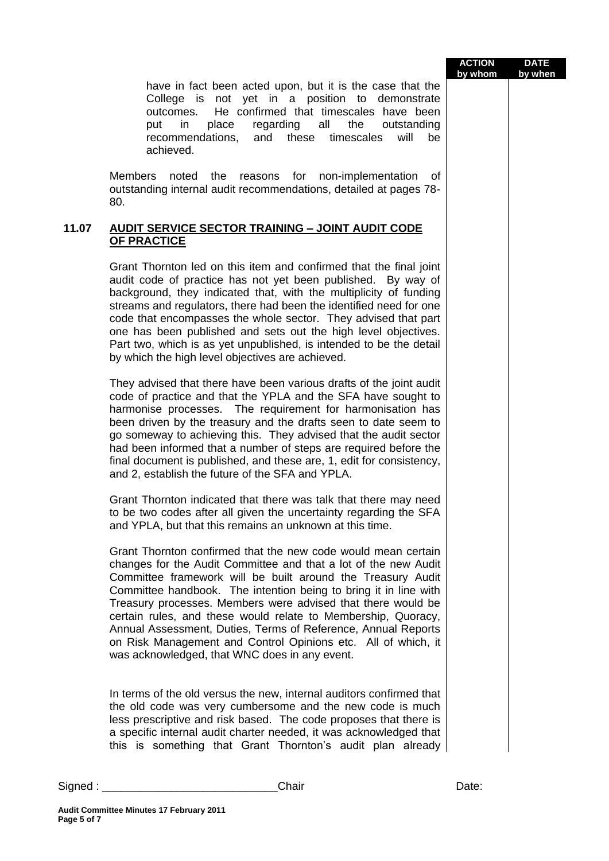have in fact been acted upon, but it is the case that the College is not yet in a position to demonstrate outcomes. He confirmed that timescales have been put in place regarding all the outstanding recommendations, and these timescales will be achieved.

Members noted the reasons for non-implementation of outstanding internal audit recommendations, detailed at pages 78- 80.

## **11.07 AUDIT SERVICE SECTOR TRAINING – JOINT AUDIT CODE OF PRACTICE**

Grant Thornton led on this item and confirmed that the final joint audit code of practice has not yet been published. By way of background, they indicated that, with the multiplicity of funding streams and regulators, there had been the identified need for one code that encompasses the whole sector. They advised that part one has been published and sets out the high level objectives. Part two, which is as yet unpublished, is intended to be the detail by which the high level objectives are achieved.

They advised that there have been various drafts of the joint audit code of practice and that the YPLA and the SFA have sought to harmonise processes. The requirement for harmonisation has been driven by the treasury and the drafts seen to date seem to go someway to achieving this. They advised that the audit sector had been informed that a number of steps are required before the final document is published, and these are, 1, edit for consistency, and 2, establish the future of the SFA and YPLA.

Grant Thornton indicated that there was talk that there may need to be two codes after all given the uncertainty regarding the SFA and YPLA, but that this remains an unknown at this time.

Grant Thornton confirmed that the new code would mean certain changes for the Audit Committee and that a lot of the new Audit Committee framework will be built around the Treasury Audit Committee handbook. The intention being to bring it in line with Treasury processes. Members were advised that there would be certain rules, and these would relate to Membership, Quoracy, Annual Assessment, Duties, Terms of Reference, Annual Reports on Risk Management and Control Opinions etc. All of which, it was acknowledged, that WNC does in any event.

In terms of the old versus the new, internal auditors confirmed that the old code was very cumbersome and the new code is much less prescriptive and risk based. The code proposes that there is a specific internal audit charter needed, it was acknowledged that this is something that Grant Thornton's audit plan already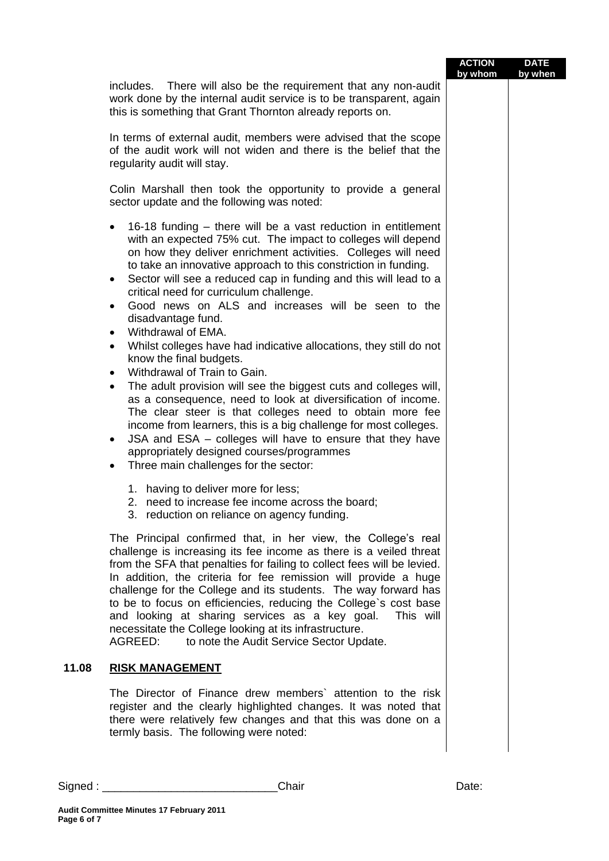|       |                                                                                                                                                                                                                                                                                                                                                                                                                                                                                                                                                                                                                                                                                                                                                                                                                                                                                                                                                                                                                                                                                     | <b>ACTION</b><br>by whom | <b>DATE</b><br>by when |
|-------|-------------------------------------------------------------------------------------------------------------------------------------------------------------------------------------------------------------------------------------------------------------------------------------------------------------------------------------------------------------------------------------------------------------------------------------------------------------------------------------------------------------------------------------------------------------------------------------------------------------------------------------------------------------------------------------------------------------------------------------------------------------------------------------------------------------------------------------------------------------------------------------------------------------------------------------------------------------------------------------------------------------------------------------------------------------------------------------|--------------------------|------------------------|
|       | There will also be the requirement that any non-audit<br>includes.<br>work done by the internal audit service is to be transparent, again<br>this is something that Grant Thornton already reports on.                                                                                                                                                                                                                                                                                                                                                                                                                                                                                                                                                                                                                                                                                                                                                                                                                                                                              |                          |                        |
|       | In terms of external audit, members were advised that the scope<br>of the audit work will not widen and there is the belief that the<br>regularity audit will stay.                                                                                                                                                                                                                                                                                                                                                                                                                                                                                                                                                                                                                                                                                                                                                                                                                                                                                                                 |                          |                        |
|       | Colin Marshall then took the opportunity to provide a general<br>sector update and the following was noted:                                                                                                                                                                                                                                                                                                                                                                                                                                                                                                                                                                                                                                                                                                                                                                                                                                                                                                                                                                         |                          |                        |
|       | 16-18 funding – there will be a vast reduction in entitlement<br>with an expected 75% cut. The impact to colleges will depend<br>on how they deliver enrichment activities. Colleges will need<br>to take an innovative approach to this constriction in funding.<br>Sector will see a reduced cap in funding and this will lead to a<br>٠<br>critical need for curriculum challenge.<br>Good news on ALS and increases will be seen to the<br>disadvantage fund.<br>Withdrawal of EMA.<br>$\bullet$<br>Whilst colleges have had indicative allocations, they still do not<br>$\bullet$<br>know the final budgets.<br>Withdrawal of Train to Gain.<br>The adult provision will see the biggest cuts and colleges will,<br>as a consequence, need to look at diversification of income.<br>The clear steer is that colleges need to obtain more fee<br>income from learners, this is a big challenge for most colleges.<br>JSA and ESA - colleges will have to ensure that they have<br>٠<br>appropriately designed courses/programmes<br>Three main challenges for the sector:<br>٠ |                          |                        |
|       | 1. having to deliver more for less;<br>2. need to increase fee income across the board;<br>3.<br>reduction on reliance on agency funding.                                                                                                                                                                                                                                                                                                                                                                                                                                                                                                                                                                                                                                                                                                                                                                                                                                                                                                                                           |                          |                        |
|       | The Principal confirmed that, in her view, the College's real<br>challenge is increasing its fee income as there is a veiled threat<br>from the SFA that penalties for failing to collect fees will be levied.<br>In addition, the criteria for fee remission will provide a huge<br>challenge for the College and its students. The way forward has<br>to be to focus on efficiencies, reducing the College's cost base<br>and looking at sharing services as a key goal.<br>This will<br>necessitate the College looking at its infrastructure.<br>AGREED:<br>to note the Audit Service Sector Update.                                                                                                                                                                                                                                                                                                                                                                                                                                                                            |                          |                        |
| 11.08 | <b>RISK MANAGEMENT</b>                                                                                                                                                                                                                                                                                                                                                                                                                                                                                                                                                                                                                                                                                                                                                                                                                                                                                                                                                                                                                                                              |                          |                        |
|       | The Director of Finance drew members' attention to the risk<br>register and the clearly highlighted changes. It was noted that<br>there were relatively few changes and that this was done on a<br>termly basis. The following were noted:                                                                                                                                                                                                                                                                                                                                                                                                                                                                                                                                                                                                                                                                                                                                                                                                                                          |                          |                        |
|       |                                                                                                                                                                                                                                                                                                                                                                                                                                                                                                                                                                                                                                                                                                                                                                                                                                                                                                                                                                                                                                                                                     |                          |                        |

٠